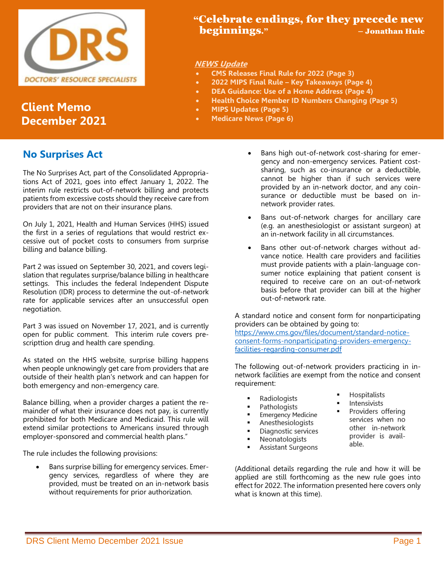

# **Client Memo December 2021**

## **No Surprises Act**

The No Surprises Act, part of the Consolidated Appropriations Act of 2021, goes into effect January 1, 2022. The interim rule restricts out-of-network billing and protects patients from excessive costs should they receive care from providers that are not on their insurance plans.

On July 1, 2021, Health and Human Services (HHS) issued the first in a series of regulations that would restrict excessive out of pocket costs to consumers from surprise billing and balance billing.

Part 2 was issued on September 30, 2021, and covers legislation that regulates surprise/balance billing in healthcare settings. This includes the federal Independent Dispute Resolution (IDR) process to determine the out-of-network rate for applicable services after an unsuccessful open negotiation.

Part 3 was issued on November 17, 2021, and is currently open for public comment. This interim rule covers prescripttion drug and health care spending.

As stated on the HHS website, surprise billing happens when people unknowingly get care from providers that are outside of their health plan's network and can happen for both emergency and non-emergency care.

Balance billing, when a provider charges a patient the remainder of what their insurance does not pay, is currently prohibited for both Medicare and Medicaid. This rule will extend similar protections to Americans insured through employer-sponsored and commercial health plans."

The rule includes the following provisions:

• Bans surprise billing for emergency services. Emergency services, regardless of where they are provided, must be treated on an in-network basis without requirements for prior authorization.

## "Celebrate endings, for they precede new beginnings." – Jonathan Huie

#### **NEWS Update**

- **CMS Releases Final Rule for 2022 (Page 3)**
- **2022 MIPS Final Rule – Key Takeaways (Page 4)**
- **DEA Guidance: Use of a Home Address (Page 4)**
- **Health Choice Member ID Numbers Changing (Page 5)**
- **MIPS Updates (Page 5)**
- **Medicare News (Page 6)**
	- Bans high out-of-network cost-sharing for emergency and non-emergency services. Patient costsharing, such as co-insurance or a deductible, cannot be higher than if such services were provided by an in-network doctor, and any coinsurance or deductible must be based on innetwork provider rates.
	- Bans out-of-network charges for ancillary care (e.g. an anesthesiologist or assistant surgeon) at an in-network facility in all circumstances.
	- Bans other out-of-network charges without advance notice. Health care providers and facilities must provide patients with a plain-language consumer notice explaining that patient consent is required to receive care on an out-of-network basis before that provider can bill at the higher out-of-network rate.

A standard notice and consent form for nonparticipating providers can be obtained by going to:

[https://www.cms.gov/files/document/standard-notice](https://www.cms.gov/files/document/standard-notice-consent-forms-nonparticipating-providers-emergency-facilities-regarding-consumer.pdf)[consent-forms-nonparticipating-providers-emergency](https://www.cms.gov/files/document/standard-notice-consent-forms-nonparticipating-providers-emergency-facilities-regarding-consumer.pdf)[facilities-regarding-consumer.pdf](https://www.cms.gov/files/document/standard-notice-consent-forms-nonparticipating-providers-emergency-facilities-regarding-consumer.pdf)

The following out-of-network providers practicing in innetwork facilities are exempt from the notice and consent requirement:

- Radiologists
- Pathologists  $\blacksquare$
- Emergency Medicine
- $\blacksquare$ Anesthesiologists
- Diagnostic services
- Neonatologists
- Assistant Surgeons

Hospitalists

- Intensivists
	- Providers offering services when no other in-network provider is available.

(Additional details regarding the rule and how it will be applied are still forthcoming as the new rule goes into effect for 2022. The information presented here covers only what is known at this time).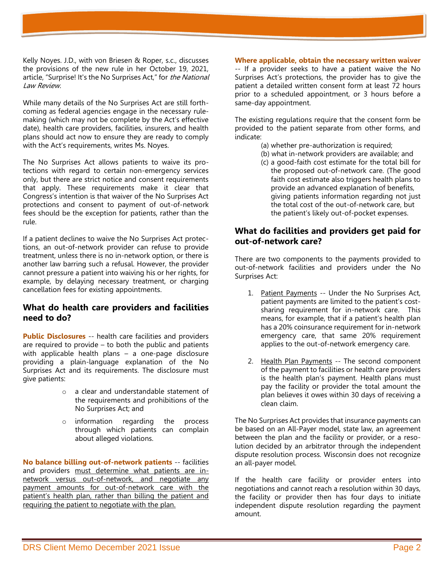Kelly Noyes. J.D., with von Briesen & Roper, s.c., discusses the provisions of the new rule in her October 19, 2021, article, "Surprise! It's the No Surprises Act," for the National Law Review.

While many details of the No Surprises Act are still forthcoming as federal agencies engage in the necessary rulemaking (which may not be complete by the Act's effective date), health care providers, facilities, insurers, and health plans should act now to ensure they are ready to comply with the Act's requirements, writes Ms. Noyes.

The No Surprises Act allows patients to waive its protections with regard to certain non-emergency services only, but there are strict notice and consent requirements that apply. These requirements make it clear that Congress's intention is that waiver of the No Surprises Act protections and consent to payment of out-of-network fees should be the exception for patients, rather than the rule.

If a patient declines to waive the No Surprises Act protections, an out-of-network provider can refuse to provide treatment, unless there is no in-network option, or there is another law barring such a refusal. However, the provider cannot pressure a patient into waiving his or her rights, for example, by delaying necessary treatment, or charging cancellation fees for existing appointments.

### **What do health care providers and facilities need to do?**

**Public Disclosures** -- health care facilities and providers are required to provide – to both the public and patients with applicable health plans – a one-page disclosure providing a plain-language explanation of the No Surprises Act and its requirements. The disclosure must give patients:

- o a clear and understandable statement of the requirements and prohibitions of the No Surprises Act; and
- o information regarding the process through which patients can complain about alleged violations.

**No balance billing out-of-network patients** -- facilities and providers must determine what patients are innetwork versus out-of-network, and negotiate any payment amounts for out-of-network care with the patient's health plan, rather than billing the patient and requiring the patient to negotiate with the plan.

#### **Where applicable, obtain the necessary written waiver** -- If a provider seeks to have a patient waive the No Surprises Act's protections, the provider has to give the patient a detailed written consent form at least 72 hours prior to a scheduled appointment, or 3 hours before a

same-day appointment.

The existing regulations require that the consent form be provided to the patient separate from other forms, and indicate:

- (a) whether pre-authorization is required;
- (b) what in-network providers are available; and
- (c) a good-faith cost estimate for the total bill for the proposed out-of-network care. (The good faith cost estimate also triggers health plans to provide an advanced explanation of benefits, giving patients information regarding not just the total cost of the out-of-network care, but the patient's likely out-of-pocket expenses.

### **What do facilities and providers get paid for out-of-network care?**

There are two components to the payments provided to out-of-network facilities and providers under the No Surprises Act:

- 1. Patient Payments -- Under the No Surprises Act, patient payments are limited to the patient's costsharing requirement for in-network care. This means, for example, that if a patient's health plan has a 20% coinsurance requirement for in-network emergency care, that same 20% requirement applies to the out-of-network emergency care.
- 2. Health Plan Payments -- The second component of the payment to facilities or health care providers is the health plan's payment. Health plans must pay the facility or provider the total amount the plan believes it owes within 30 days of receiving a clean claim.

The No Surprises Act provides that insurance payments can be based on an All-Payer model, state law, an agreement between the plan and the facility or provider, or a resolution decided by an arbitrator through the independent dispute resolution process. Wisconsin does not recognize an all-payer model.

If the health care facility or provider enters into negotiations and cannot reach a resolution within 30 days, the facility or provider then has four days to initiate independent dispute resolution regarding the payment amount.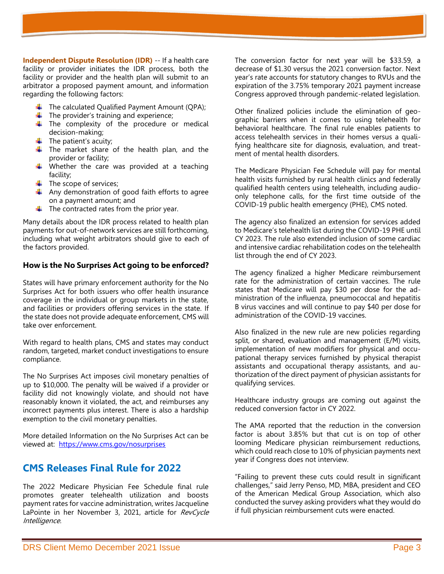**Independent Dispute Resolution (IDR)** -- If a health care facility or provider initiates the IDR process, both the facility or provider and the health plan will submit to an arbitrator a proposed payment amount, and information regarding the following factors:

- $\downarrow$  The calculated Qualified Payment Amount (QPA);
- $\downarrow$  The provider's training and experience;
- $\overline{\phantom{a}}$  The complexity of the procedure or medical decision-making;
- $\ddot{\bullet}$  The patient's acuity;
- $\ddot$  The market share of the health plan, and the provider or facility;
- $\downarrow$  Whether the care was provided at a teaching facility;
- $\overline{\phantom{a}}$  The scope of services;
- $\overline{\text{L}}$  Any demonstration of good faith efforts to agree on a payment amount; and
- $\ddot{\bullet}$  The contracted rates from the prior year.

Many details about the IDR process related to health plan payments for out-of-network services are still forthcoming, including what weight arbitrators should give to each of the factors provided.

### **How is the No Surprises Act going to be enforced?**

States will have primary enforcement authority for the No Surprises Act for both issuers who offer health insurance coverage in the individual or group markets in the state, and facilities or providers offering services in the state. If the state does not provide adequate enforcement, CMS will take over enforcement.

With regard to health plans, CMS and states may conduct random, targeted, market conduct investigations to ensure compliance.

The No Surprises Act imposes civil monetary penalties of up to \$10,000. The penalty will be waived if a provider or facility did not knowingly violate, and should not have reasonably known it violated, the act, and reimburses any incorrect payments plus interest. There is also a hardship exemption to the civil monetary penalties.

More detailed Information on the No Surprises Act can be viewed at: <https://www.cms.gov/nosurprises>

## **CMS Releases Final Rule for 2022**

The 2022 Medicare Physician Fee Schedule final rule promotes greater telehealth utilization and boosts payment rates for vaccine administration, writes Jacqueline LaPointe in her November 3, 2021, article for RevCycle Intelligence.

The conversion factor for next year will be \$33.59, a decrease of \$1.30 versus the 2021 conversion factor. Next year's rate accounts for statutory changes to RVUs and the expiration of the 3.75% temporary 2021 payment increase Congress approved through pandemic-related legislation.

Other finalized policies include the elimination of geographic barriers when it comes to using telehealth for behavioral healthcare. The final rule enables patients to access telehealth services in their homes versus a qualifying healthcare site for diagnosis, evaluation, and treatment of mental health disorders.

The Medicare Physician Fee Schedule will pay for mental health visits furnished by rural health clinics and federally qualified health centers using telehealth, including audioonly telephone calls, for the first time outside of the COVID-19 public health emergency (PHE), CMS noted.

The agency also finalized an extension for services added to Medicare's telehealth list during the COVID-19 PHE until CY 2023. The rule also extended inclusion of some cardiac and intensive cardiac rehabilitation codes on the telehealth list through the end of CY 2023.

The agency finalized a higher Medicare reimbursement rate for the administration of certain vaccines. The rule states that Medicare will pay \$30 per dose for the administration of the influenza, pneumococcal and hepatitis B virus vaccines and will continue to pay \$40 per dose for administration of the COVID-19 vaccines.

Also finalized in the new rule are new policies regarding split, or shared, evaluation and management (E/M) visits, implementation of new modifiers for physical and occupational therapy services furnished by physical therapist assistants and occupational therapy assistants, and authorization of the direct payment of physician assistants for qualifying services.

Healthcare industry groups are coming out against the reduced conversion factor in CY 2022.

The AMA reported that the reduction in the conversion factor is about 3.85% but that cut is on top of other looming Medicare physician reimbursement reductions, which could reach close to 10% of physician payments next year if Congress does not interview.

"Failing to prevent these cuts could result in significant challenges," said Jerry Penso, MD, MBA, president and CEO of the American Medical Group Association, which also conducted the survey asking providers what they would do if full physician reimbursement cuts were enacted.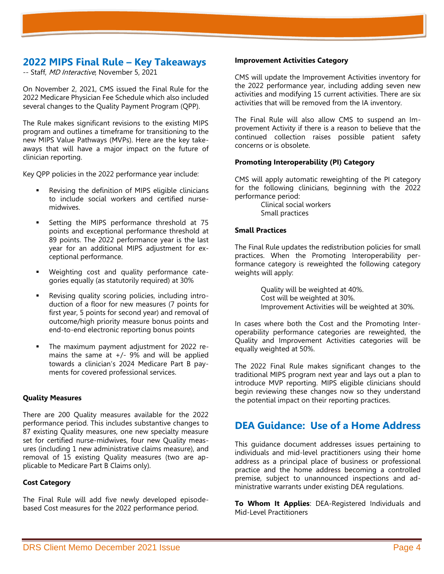## **2022 MIPS Final Rule – Key Takeaways**

-- Staff, MD Interactive, November 5, 2021

On November 2, 2021, CMS issued the Final Rule for the 2022 Medicare Physician Fee Schedule which also included several changes to the Quality Payment Program (QPP).

The Rule makes significant revisions to the existing MIPS program and outlines a timeframe for transitioning to the new MIPS Value Pathways (MVPs). Here are the key takeaways that will have a major impact on the future of clinician reporting.

Key QPP policies in the 2022 performance year include:

- Revising the definition of MIPS eligible clinicians to include social workers and certified nursemidwives.
- Setting the MIPS performance threshold at 75 points and exceptional performance threshold at 89 points. The 2022 performance year is the last year for an additional MIPS adjustment for exceptional performance.
- Weighting cost and quality performance categories equally (as statutorily required) at 30%
- Revising quality scoring policies, including introduction of a floor for new measures (7 points for first year, 5 points for second year) and removal of outcome/high priority measure bonus points and end-to-end electronic reporting bonus points
- The maximum payment adjustment for 2022 remains the same at  $+/-$  9% and will be applied towards a clinician's 2024 Medicare Part B payments for covered professional services.

#### **Quality Measures**

There are 200 Quality measures available for the 2022 performance period. This includes substantive changes to 87 existing Quality measures, one new specialty measure set for certified nurse-midwives, four new Quality measures (including 1 new administrative claims measure), and removal of 15 existing Quality measures (two are applicable to Medicare Part B Claims only).

#### **Cost Category**

The Final Rule will add five newly developed episodebased Cost measures for the 2022 performance period.

#### **Improvement Activities Category**

CMS will update the Improvement Activities inventory for the 2022 performance year, including adding seven new activities and modifying 15 current activities. There are six activities that will be removed from the IA inventory.

The Final Rule will also allow CMS to suspend an Improvement Activity if there is a reason to believe that the continued collection raises possible patient safety concerns or is obsolete.

#### **Promoting Interoperability (PI) Category**

CMS will apply automatic reweighting of the PI category for the following clinicians, beginning with the 2022 performance period:

> Clinical social workers Small practices

#### **Small Practices**

The Final Rule updates the redistribution policies for small practices. When the Promoting Interoperability performance category is reweighted the following category weights will apply:

> Quality will be weighted at 40%. Cost will be weighted at 30%. Improvement Activities will be weighted at 30%.

In cases where both the Cost and the Promoting Interoperability performance categories are reweighted, the Quality and Improvement Activities categories will be equally weighted at 50%.

The 2022 Final Rule makes significant changes to the traditional MIPS program next year and lays out a plan to introduce MVP reporting. MIPS eligible clinicians should begin reviewing these changes now so they understand the potential impact on their reporting practices.

## **DEA Guidance: Use of a Home Address**

This guidance document addresses issues pertaining to individuals and mid-level practitioners using their home address as a principal place of business or professional practice and the home address becoming a controlled premise, subject to unannounced inspections and administrative warrants under existing DEA regulations.

**To Whom It Applies**: DEA-Registered Individuals and Mid-Level Practitioners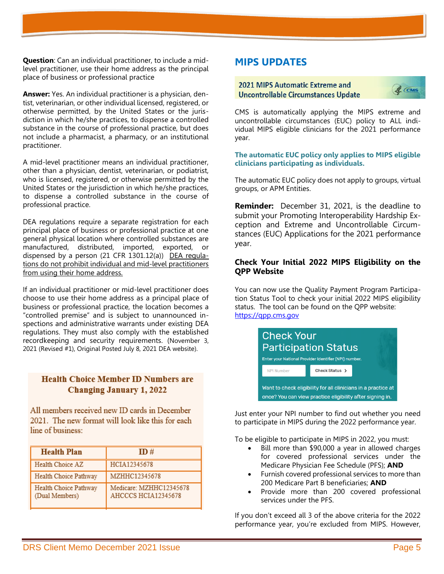**Question**: Can an individual practitioner, to include a midlevel practitioner, use their home address as the principal place of business or professional practice

**Answer:** Yes. An individual practitioner is a physician, dentist, veterinarian, or other individual licensed, registered, or otherwise permitted, by the United States or the jurisdiction in which he/she practices, to dispense a controlled substance in the course of professional practice, but does not include a pharmacist, a pharmacy, or an institutional practitioner.

A mid-level practitioner means an individual practitioner, other than a physician, dentist, veterinarian, or podiatrist, who is licensed, registered, or otherwise permitted by the United States or the jurisdiction in which he/she practices, to dispense a controlled substance in the course of professional practice.

DEA regulations require a separate registration for each principal place of business or professional practice at one general physical location where controlled substances are manufactured, distributed, imported, exported, or dispensed by a person  $(21 \text{ CFR } 1301.12(a))$  DEA regulations do not prohibit individual and mid-level practitioners from using their home address.

If an individual practitioner or mid-level practitioner does choose to use their home address as a principal place of business or professional practice, the location becomes a "controlled premise" and is subject to unannounced inspections and administrative warrants under existing DEA regulations. They must also comply with the established recordkeeping and security requirements. (November 3, 2021 (Revised #1), Original Posted July 8, 2021 DEA website).

### **Health Choice Member ID Numbers are Changing January 1, 2022**

All members received new ID cards in December 2021. The new format will look like this for each line of business:

| <b>Health Plan</b>                      | ID#                                            |
|-----------------------------------------|------------------------------------------------|
| Health Choice AZ                        | HCIA12345678                                   |
| Health Choice Pathway                   | MZHHC12345678                                  |
| Health Choice Pathway<br>(Dual Members) | Medicare: MZHHC12345678<br>AHCCCS HCIA12345678 |

## **MIPS UPDATES**

#### 2021 MIPS Automatic Extreme and **Uncontrollable Circumstances Update**



CMS is automatically applying the MIPS extreme and uncontrollable circumstances (EUC) policy to ALL individual MIPS eligible clinicians for the 2021 performance year.

#### **The automatic EUC policy only applies to MIPS eligible clinicians participating as individuals.**

The automatic EUC policy does not apply to groups, virtual groups, or APM Entities.

**Reminder:** December 31, 2021, is the deadline to submit your Promoting Interoperability Hardship Exception and Extreme and Uncontrollable Circumstances (EUC) Applications for the 2021 performance year.

### **Check Your Initial 2022 MIPS Eligibility on the QPP Website**

You can now use the [Quality Payment Program Participa](https://lnks.gd/l/eyJhbGciOiJIUzI1NiJ9.eyJidWxsZXRpbl9saW5rX2lkIjoxMTksInVyaSI6ImJwMjpjbGljayIsImJ1bGxldGluX2lkIjoiMjAyMTExMjMuNDkyNjc2MjEiLCJ1cmwiOiJodHRwczovL3FwcC5jbXMuZ292L3BhcnRpY2lwYXRpb24tbG9va3VwIn0.y7xpRXAMCgJ-jT5mY-o7kGy_D1enLOiNREU2Xh3NUNA/s/148356598/br/121570721808-l)[tion Status Tool](https://lnks.gd/l/eyJhbGciOiJIUzI1NiJ9.eyJidWxsZXRpbl9saW5rX2lkIjoxMTksInVyaSI6ImJwMjpjbGljayIsImJ1bGxldGluX2lkIjoiMjAyMTExMjMuNDkyNjc2MjEiLCJ1cmwiOiJodHRwczovL3FwcC5jbXMuZ292L3BhcnRpY2lwYXRpb24tbG9va3VwIn0.y7xpRXAMCgJ-jT5mY-o7kGy_D1enLOiNREU2Xh3NUNA/s/148356598/br/121570721808-l) to check your initial 2022 MIPS eligibility status. The tool can be found on the QPP website: [https://qpp.cms.gov](https://qpp.cms.gov/)



Just enter your NPI number to find out whether you need to participate in MIPS during the 2022 performance year.

To be eligible to participate in MIPS in 2022, you must:

- Bill more than \$90,000 a year in allowed charges for covered professional services under the Medicare Physician Fee Schedule (PFS); **AND**
- Furnish covered professional services to more than 200 Medicare Part B beneficiaries; **AND**
- Provide more than 200 covered professional services under the PFS.

If you don't exceed all 3 of the above criteria for the 2022 performance year, you're excluded from MIPS. However,